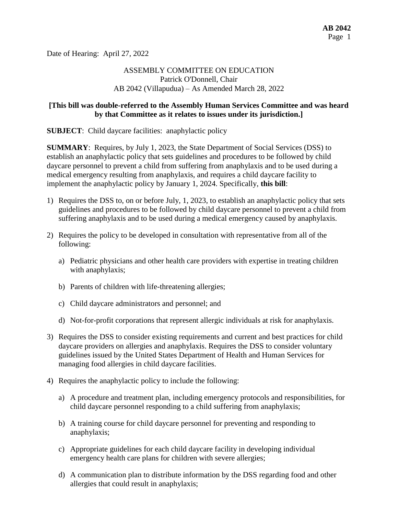Date of Hearing: April 27, 2022

# ASSEMBLY COMMITTEE ON EDUCATION Patrick O'Donnell, Chair AB 2042 (Villapudua) – As Amended March 28, 2022

## **[This bill was double-referred to the Assembly Human Services Committee and was heard by that Committee as it relates to issues under its jurisdiction.]**

**SUBJECT:** Child daycare facilities: anaphylactic policy

**SUMMARY**: Requires, by July 1, 2023, the State Department of Social Services (DSS) to establish an anaphylactic policy that sets guidelines and procedures to be followed by child daycare personnel to prevent a child from suffering from anaphylaxis and to be used during a medical emergency resulting from anaphylaxis, and requires a child daycare facility to implement the anaphylactic policy by January 1, 2024. Specifically, **this bill**:

- 1) Requires the DSS to, on or before July, 1, 2023, to establish an anaphylactic policy that sets guidelines and procedures to be followed by child daycare personnel to prevent a child from suffering anaphylaxis and to be used during a medical emergency caused by anaphylaxis.
- 2) Requires the policy to be developed in consultation with representative from all of the following:
	- a) Pediatric physicians and other health care providers with expertise in treating children with anaphylaxis;
	- b) Parents of children with life-threatening allergies;
	- c) Child daycare administrators and personnel; and
	- d) Not-for-profit corporations that represent allergic individuals at risk for anaphylaxis.
- 3) Requires the DSS to consider existing requirements and current and best practices for child daycare providers on allergies and anaphylaxis. Requires the DSS to consider voluntary guidelines issued by the United States Department of Health and Human Services for managing food allergies in child daycare facilities.
- 4) Requires the anaphylactic policy to include the following:
	- a) A procedure and treatment plan, including emergency protocols and responsibilities, for child daycare personnel responding to a child suffering from anaphylaxis;
	- b) A training course for child daycare personnel for preventing and responding to anaphylaxis;
	- c) Appropriate guidelines for each child daycare facility in developing individual emergency health care plans for children with severe allergies;
	- d) A communication plan to distribute information by the DSS regarding food and other allergies that could result in anaphylaxis;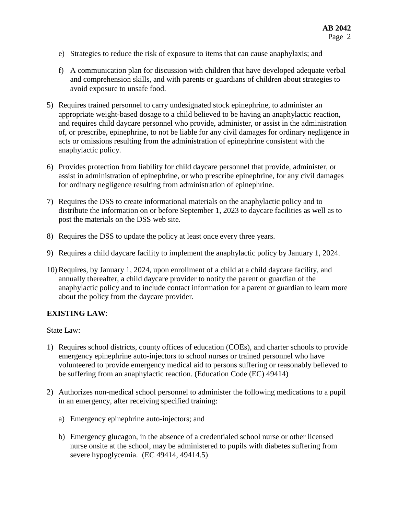- e) Strategies to reduce the risk of exposure to items that can cause anaphylaxis; and
- f) A communication plan for discussion with children that have developed adequate verbal and comprehension skills, and with parents or guardians of children about strategies to avoid exposure to unsafe food.
- 5) Requires trained personnel to carry undesignated stock epinephrine, to administer an appropriate weight-based dosage to a child believed to be having an anaphylactic reaction, and requires child daycare personnel who provide, administer, or assist in the administration of, or prescribe, epinephrine, to not be liable for any civil damages for ordinary negligence in acts or omissions resulting from the administration of epinephrine consistent with the anaphylactic policy.
- 6) Provides protection from liability for child daycare personnel that provide, administer, or assist in administration of epinephrine, or who prescribe epinephrine, for any civil damages for ordinary negligence resulting from administration of epinephrine.
- 7) Requires the DSS to create informational materials on the anaphylactic policy and to distribute the information on or before September 1, 2023 to daycare facilities as well as to post the materials on the DSS web site.
- 8) Requires the DSS to update the policy at least once every three years.
- 9) Requires a child daycare facility to implement the anaphylactic policy by January 1, 2024.
- 10) Requires, by January 1, 2024, upon enrollment of a child at a child daycare facility, and annually thereafter, a child daycare provider to notify the parent or guardian of the anaphylactic policy and to include contact information for a parent or guardian to learn more about the policy from the daycare provider.

### **EXISTING LAW**:

State Law:

- 1) Requires school districts, county offices of education (COEs), and charter schools to provide emergency epinephrine auto-injectors to school nurses or trained personnel who have volunteered to provide emergency medical aid to persons suffering or reasonably believed to be suffering from an anaphylactic reaction. (Education Code (EC) 49414)
- 2) Authorizes non-medical school personnel to administer the following medications to a pupil in an emergency, after receiving specified training:
	- a) Emergency epinephrine auto-injectors; and
	- b) Emergency glucagon, in the absence of a credentialed school nurse or other licensed nurse onsite at the school, may be administered to pupils with diabetes suffering from severe hypoglycemia. (EC 49414, 49414.5)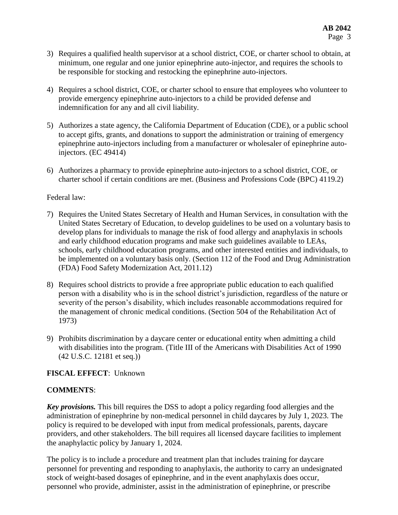- 3) Requires a qualified health supervisor at a school district, COE, or charter school to obtain, at minimum, one regular and one junior epinephrine auto-injector, and requires the schools to be responsible for stocking and restocking the epinephrine auto-injectors.
- 4) Requires a school district, COE, or charter school to ensure that employees who volunteer to provide emergency epinephrine auto-injectors to a child be provided defense and indemnification for any and all civil liability.
- 5) Authorizes a state agency, the California Department of Education (CDE), or a public school to accept gifts, grants, and donations to support the administration or training of emergency epinephrine auto-injectors including from a manufacturer or wholesaler of epinephrine autoinjectors. (EC 49414)
- 6) Authorizes a pharmacy to provide epinephrine auto-injectors to a school district, COE, or charter school if certain conditions are met. (Business and Professions Code (BPC) 4119.2)

## Federal law:

- 7) Requires the United States Secretary of Health and Human Services, in consultation with the United States Secretary of Education, to develop guidelines to be used on a voluntary basis to develop plans for individuals to manage the risk of food allergy and anaphylaxis in schools and early childhood education programs and make such guidelines available to LEAs, schools, early childhood education programs, and other interested entities and individuals, to be implemented on a voluntary basis only. (Section 112 of the Food and Drug Administration (FDA) Food Safety Modernization Act, 2011.12)
- 8) Requires school districts to provide a free appropriate public education to each qualified person with a disability who is in the school district's jurisdiction, regardless of the nature or severity of the person's disability, which includes reasonable accommodations required for the management of chronic medical conditions. (Section 504 of the Rehabilitation Act of 1973)
- 9) Prohibits discrimination by a daycare center or educational entity when admitting a child with disabilities into the program. (Title III of the Americans with Disabilities Act of 1990 (42 U.S.C. 12181 et seq.))

# **FISCAL EFFECT**: Unknown

# **COMMENTS**:

*Key provisions.* This bill requires the DSS to adopt a policy regarding food allergies and the administration of epinephrine by non-medical personnel in child daycares by July 1, 2023. The policy is required to be developed with input from medical professionals, parents, daycare providers, and other stakeholders. The bill requires all licensed daycare facilities to implement the anaphylactic policy by January 1, 2024.

The policy is to include a procedure and treatment plan that includes training for daycare personnel for preventing and responding to anaphylaxis, the authority to carry an undesignated stock of weight-based dosages of epinephrine, and in the event anaphylaxis does occur, personnel who provide, administer, assist in the administration of epinephrine, or prescribe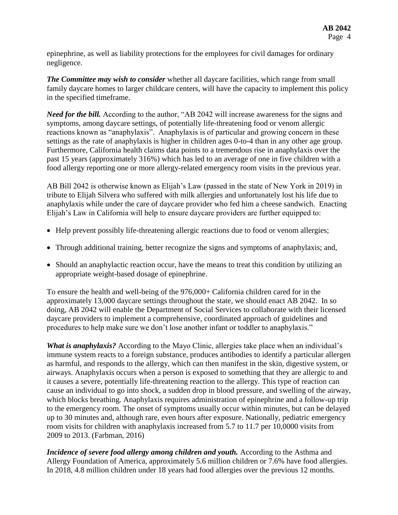epinephrine, as well as liability protections for the employees for civil damages for ordinary negligence.

*The Committee may wish to consider* whether all daycare facilities, which range from small family daycare homes to larger childcare centers, will have the capacity to implement this policy in the specified timeframe.

*Need for the bill.* According to the author, "AB 2042 will increase awareness for the signs and symptoms, among daycare settings, of potentially life-threatening food or venom allergic reactions known as "anaphylaxis". Anaphylaxis is of particular and growing concern in these settings as the rate of anaphylaxis is higher in children ages 0-to-4 than in any other age group. Furthermore, California health claims data points to a tremendous rise in anaphylaxis over the past 15 years (approximately 316%) which has led to an average of one in five children with a food allergy reporting one or more allergy-related emergency room visits in the previous year.

AB Bill 2042 is otherwise known as Elijah's Law (passed in the state of New York in 2019) in tribute to Elijah Silvera who suffered with milk allergies and unfortunately lost his life due to anaphylaxis while under the care of daycare provider who fed him a cheese sandwich. Enacting Elijah's Law in California will help to ensure daycare providers are further equipped to:

- Help prevent possibly life-threatening allergic reactions due to food or venom allergies;
- Through additional training, better recognize the signs and symptoms of anaphylaxis; and,
- Should an anaphylactic reaction occur, have the means to treat this condition by utilizing an appropriate weight-based dosage of epinephrine.

To ensure the health and well-being of the 976,000+ California children cared for in the approximately 13,000 daycare settings throughout the state, we should enact AB 2042. In so doing, AB 2042 will enable the Department of Social Services to collaborate with their licensed daycare providers to implement a comprehensive, coordinated approach of guidelines and procedures to help make sure we don't lose another infant or toddler to anaphylaxis."

*What is anaphylaxis?* According to the Mayo Clinic, allergies take place when an individual's immune system reacts to a foreign substance, produces antibodies to identify a particular allergen as harmful, and responds to the allergy, which can then manifest in the skin, digestive system, or airways. Anaphylaxis occurs when a person is exposed to something that they are allergic to and it causes a severe, potentially life-threatening reaction to the allergy. This type of reaction can cause an individual to go into shock, a sudden drop in blood pressure, and swelling of the airway, which blocks breathing. Anaphylaxis requires administration of epinephrine and a follow-up trip to the emergency room. The onset of symptoms usually occur within minutes, but can be delayed up to 30 minutes and, although rare, even hours after exposure. Nationally, pediatric emergency room visits for children with anaphylaxis increased from 5.7 to 11.7 per 10,0000 visits from 2009 to 2013. (Farbman, 2016)

*Incidence of severe food allergy among children and youth.* According to the Asthma and Allergy Foundation of America, approximately 5.6 million children or 7.6% have food allergies. In 2018, 4.8 million children under 18 years had food allergies over the previous 12 months.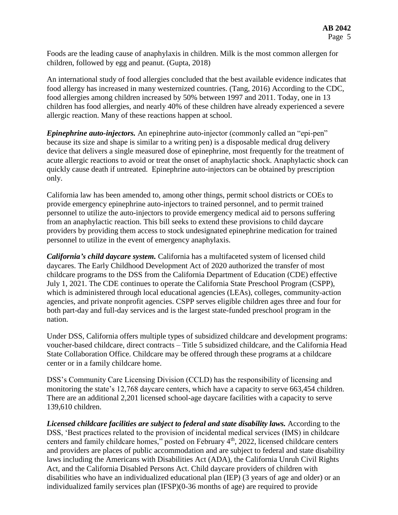Foods are the leading cause of anaphylaxis in children. Milk is the most common allergen for children, followed by egg and peanut. (Gupta, 2018)

An international study of food allergies concluded that the best available evidence indicates that food allergy has increased in many westernized countries. (Tang, 2016) According to the CDC, food allergies among children increased by 50% between 1997 and 2011. Today, one in 13 children has food allergies, and nearly 40% of these children have already experienced a severe allergic reaction. Many of these reactions happen at school.

*Epinephrine auto-injectors.* An epinephrine auto-injector (commonly called an "epi-pen" because its size and shape is similar to a writing pen) is a disposable medical drug delivery device that delivers a single measured dose of epinephrine, most frequently for the treatment of acute allergic reactions to avoid or treat the onset of anaphylactic shock. Anaphylactic shock can quickly cause death if untreated. Epinephrine auto-injectors can be obtained by prescription only.

California law has been amended to, among other things, permit school districts or COEs to provide emergency epinephrine auto-injectors to trained personnel, and to permit trained personnel to utilize the auto-injectors to provide emergency medical aid to persons suffering from an anaphylactic reaction. This bill seeks to extend these provisions to child daycare providers by providing them access to stock undesignated epinephrine medication for trained personnel to utilize in the event of emergency anaphylaxis.

*California's child daycare system.* California has a multifaceted system of licensed child daycares. The Early Childhood Development Act of 2020 authorized the transfer of most childcare programs to the DSS from the California Department of Education (CDE) effective July 1, 2021. The CDE continues to operate the California State Preschool Program (CSPP), which is administered through local educational agencies (LEAs), colleges, community-action agencies, and private nonprofit agencies. CSPP serves eligible children ages three and four for both part-day and full-day services and is the largest state-funded preschool program in the nation.

Under DSS, California offers multiple types of subsidized childcare and development programs: voucher-based childcare, direct contracts – Title 5 subsidized childcare, and the California Head State Collaboration Office. Childcare may be offered through these programs at a childcare center or in a family childcare home.

DSS's Community Care Licensing Division (CCLD) has the responsibility of licensing and monitoring the state's 12,768 daycare centers, which have a capacity to serve 663,454 children. There are an additional 2,201 licensed school-age daycare facilities with a capacity to serve 139,610 children.

Licensed childcare facilities are subject to federal and state disability laws. According to the DSS, 'Best practices related to the provision of incidental medical services (IMS) in childcare centers and family childcare homes," posted on February 4th, 2022, licensed childcare centers and providers are places of public accommodation and are subject to federal and state disability laws including the Americans with Disabilities Act (ADA), the California Unruh Civil Rights Act, and the California Disabled Persons Act. Child daycare providers of children with disabilities who have an individualized educational plan (IEP) (3 years of age and older) or an individualized family services plan (IFSP)(0-36 months of age) are required to provide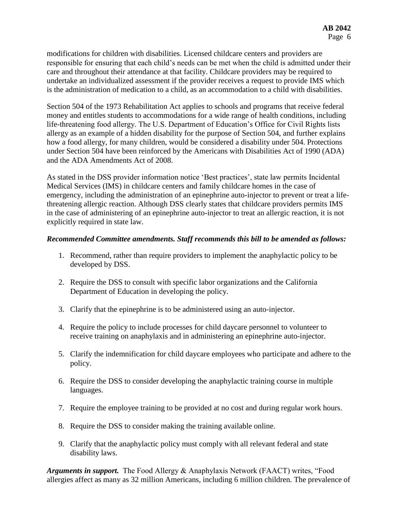modifications for children with disabilities. Licensed childcare centers and providers are responsible for ensuring that each child's needs can be met when the child is admitted under their care and throughout their attendance at that facility. Childcare providers may be required to undertake an individualized assessment if the provider receives a request to provide IMS which is the administration of medication to a child, as an accommodation to a child with disabilities.

Section 504 of the 1973 Rehabilitation Act applies to schools and programs that receive federal money and entitles students to accommodations for a wide range of health conditions, including life-threatening food allergy. The U.S. Department of Education's Office for Civil Rights lists allergy as an example of a hidden disability for the purpose of Section 504, and further explains how a food allergy, for many children, would be considered a disability under 504. Protections under Section 504 have been reinforced by the Americans with Disabilities Act of 1990 (ADA) and the ADA Amendments Act of 2008.

As stated in the DSS provider information notice 'Best practices', state law permits Incidental Medical Services (IMS) in childcare centers and family childcare homes in the case of emergency, including the administration of an epinephrine auto-injector to prevent or treat a lifethreatening allergic reaction. Although DSS clearly states that childcare providers permits IMS in the case of administering of an epinephrine auto-injector to treat an allergic reaction, it is not explicitly required in state law.

## *Recommended Committee amendments. Staff recommends this bill to be amended as follows:*

- 1. Recommend, rather than require providers to implement the anaphylactic policy to be developed by DSS.
- 2. Require the DSS to consult with specific labor organizations and the California Department of Education in developing the policy.
- 3. Clarify that the epinephrine is to be administered using an auto-injector.
- 4. Require the policy to include processes for child daycare personnel to volunteer to receive training on anaphylaxis and in administering an epinephrine auto-injector.
- 5. Clarify the indemnification for child daycare employees who participate and adhere to the policy.
- 6. Require the DSS to consider developing the anaphylactic training course in multiple languages.
- 7. Require the employee training to be provided at no cost and during regular work hours.
- 8. Require the DSS to consider making the training available online.
- 9. Clarify that the anaphylactic policy must comply with all relevant federal and state disability laws.

*Arguments in support.* The Food Allergy & Anaphylaxis Network (FAACT) writes, "Food allergies affect as many as 32 million Americans, including 6 million children. The prevalence of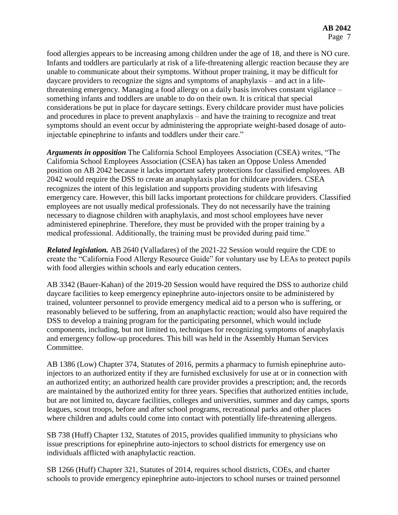food allergies appears to be increasing among children under the age of 18, and there is NO cure. Infants and toddlers are particularly at risk of a life-threatening allergic reaction because they are unable to communicate about their symptoms. Without proper training, it may be difficult for daycare providers to recognize the signs and symptoms of anaphylaxis – and act in a lifethreatening emergency. Managing a food allergy on a daily basis involves constant vigilance – something infants and toddlers are unable to do on their own. It is critical that special considerations be put in place for daycare settings. Every childcare provider must have policies and procedures in place to prevent anaphylaxis – and have the training to recognize and treat symptoms should an event occur by administering the appropriate weight-based dosage of autoinjectable epinephrine to infants and toddlers under their care."

*Arguments in opposition* The California School Employees Association (CSEA) writes, "The California School Employees Association (CSEA) has taken an Oppose Unless Amended position on AB 2042 because it lacks important safety protections for classified employees. AB 2042 would require the DSS to create an anaphylaxis plan for childcare providers. CSEA recognizes the intent of this legislation and supports providing students with lifesaving emergency care. However, this bill lacks important protections for childcare providers. Classified employees are not usually medical professionals. They do not necessarily have the training necessary to diagnose children with anaphylaxis, and most school employees have never administered epinephrine. Therefore, they must be provided with the proper training by a medical professional. Additionally, the training must be provided during paid time."

*Related legislation.* AB 2640 (Valladares) of the 2021-22 Session would require the CDE to create the "California Food Allergy Resource Guide" for voluntary use by LEAs to protect pupils with food allergies within schools and early education centers.

AB 3342 (Bauer-Kahan) of the 2019-20 Session would have required the DSS to authorize child daycare facilities to keep emergency epinephrine auto-injectors onsite to be administered by trained, volunteer personnel to provide emergency medical aid to a person who is suffering, or reasonably believed to be suffering, from an anaphylactic reaction; would also have required the DSS to develop a training program for the participating personnel, which would include components, including, but not limited to, techniques for recognizing symptoms of anaphylaxis and emergency follow-up procedures. This bill was held in the Assembly Human Services Committee.

AB 1386 (Low) Chapter 374, Statutes of 2016, permits a pharmacy to furnish epinephrine autoinjectors to an authorized entity if they are furnished exclusively for use at or in connection with an authorized entity; an authorized health care provider provides a prescription; and, the records are maintained by the authorized entity for three years. Specifies that authorized entities include, but are not limited to, daycare facilities, colleges and universities, summer and day camps, sports leagues, scout troops, before and after school programs, recreational parks and other places where children and adults could come into contact with potentially life-threatening allergens.

SB 738 (Huff) Chapter 132, Statutes of 2015, provides qualified immunity to physicians who issue prescriptions for epinephrine auto-injectors to school districts for emergency use on individuals afflicted with anaphylactic reaction.

SB 1266 (Huff) Chapter 321, Statutes of 2014, requires school districts, COEs, and charter schools to provide emergency epinephrine auto-injectors to school nurses or trained personnel